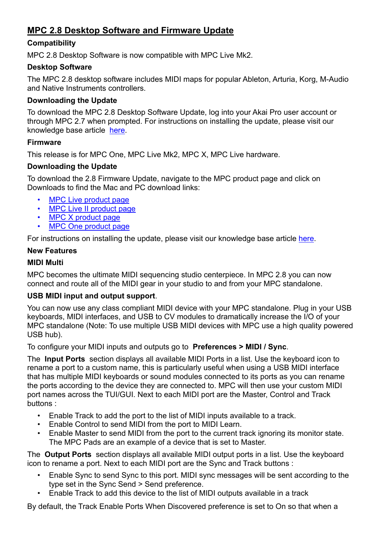# **MPC 2.8 Desktop Software and Firmware Update**

# **Compatibility**

MPC 2.8 Desktop Software is now compatible with MPC Live Mk2.

# **Desktop Software**

The MPC 2.8 desktop software includes MIDI maps for popular Ableton, Arturia, Korg, M-Audio and Native Instruments controllers.

# **Downloading the Update**

To download the MPC 2.8 Desktop Software Update, log into your Akai Pro user account or through MPC 2.7 when prompted. For instructions on installing the update, please visit our knowledge base article [here](https://www.akaipro.com/kb/akai-pro-mpc-x-and-mpc-live-firmware-update-2-3-walkthrough/).

### **Firmware**

This release is for MPC One, MPC Live Mk2, MPC X, MPC Live hardware.

# **Downloading the Update**

To download the 2.8 Firmware Update, navigate to the MPC product page and click on Downloads to find the Mac and PC download links:

- [MPC Live product page](https://www.akaipro.com/mpc-live)
- [MPC Live II product page](https://www.akaipro.com/mpcliveii)
- [MPC X product page](https://www.akaipro.com/mpc-x)
- [MPC One product page](https://www.akaipro.com/mpc-one)

For instructions on installing the update, please visit our knowledge base article [here.](https://www.akaipro.com/kb/akai-pro-mpc-software-2-0-downloading-and-installing-the-mpc-2-2-update/)

# **New Features**

# **MIDI Multi**

MPC becomes the ultimate MIDI sequencing studio centerpiece. In MPC 2.8 you can now connect and route all of the MIDI gear in your studio to and from your MPC standalone.

# **USB MIDI input and output support**.

You can now use any class compliant MIDI device with your MPC standalone. Plug in your USB keyboards, MIDI interfaces, and USB to CV modules to dramatically increase the I/O of your MPC standalone (Note: To use multiple USB MIDI devices with MPC use a high quality powered USB hub).

To configure your MIDI inputs and outputs go to **Preferences > MIDI / Sync**.

The **Input Ports** section displays all available MIDI Ports in a list. Use the keyboard icon to rename a port to a custom name, this is particularly useful when using a USB MIDI interface that has multiple MIDI keyboards or sound modules connected to its ports as you can rename the ports according to the device they are connected to. MPC will then use your custom MIDI port names across the TUI/GUI. Next to each MIDI port are the Master, Control and Track buttons :

- Enable Track to add the port to the list of MIDI inputs available to a track.
- Enable Control to send MIDI from the port to MIDI Learn.
- Enable Master to send MIDI from the port to the current track ignoring its monitor state. The MPC Pads are an example of a device that is set to Master.

The **Output Ports** section displays all available MIDI output ports in a list. Use the keyboard icon to rename a port. Next to each MIDI port are the Sync and Track buttons :

- Enable Sync to send Sync to this port. MIDI sync messages will be sent according to the type set in the Sync Send > Send preference.
- Enable Track to add this device to the list of MIDI outputs available in a track

By default, the Track Enable Ports When Discovered preference is set to On so that when a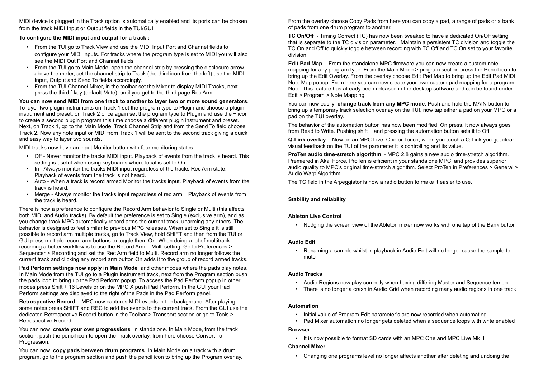MIDI device is plugged in the Track option is automatically enabled and its ports can be chosen from the track MIDI Input or Output fields in the TUI/GUI.

#### **To configure the MIDI input and output for a track :**

- From the TUI go to Track View and use the MIDI Input Port and Channel fields to configure your MIDI inputs. For tracks where the program type is set to MIDI you will also see the MIDI Out Port and Channel fields.
- From the TUI go to Main Mode, open the channel strip by pressing the disclosure arrow above the meter, set the channel strip to Track (the third icon from the left) use the MIDI Input, Output and Send To fields accordingly.
- From the TUI Channel Mixer, in the toolbar set the Mixer to display MIDI Tracks, next press the third f-key (default Mute), until you get to the third page Rec Arm.

**You can now send MIDI from one track to another to layer two or more sound generators**. To layer two plugin instruments on Track 1 set the program type to Plugin and choose a plugin instrument and preset, on Track 2 once again set the program type to Plugin and use the + icon to create a second plugin program this time choose a different plugin instrument and preset. Next, on Track 1, go to the Main Mode, Track Channel Strip and from the Send To field choose Track 2. Now any note input or MIDI from Track 1 will be sent to the second track giving a quick and easy way to layer two sounds.

MIDI tracks now have an input Monitor button with four monitoring states :

- Off Never monitor the tracks MIDI input. Playback of events from the track is heard. This setting is useful when using keyboards where local is set to On.
- In Always monitor the tracks MIDI input regardless of the tracks Rec Arm state. Playback of events from the track is not heard.
- Auto When a track is record armed Monitor the tracks input. Playback of events from the track is heard.
- Merge Always monitor the tracks input regardless of rec arm. Playback of events from the track is heard.

There is now a preference to configure the Record Arm behavior to Single or Multi (this affects both MIDI and Audio tracks). By default the preference is set to Single (exclusive arm), and as you change track MPC automatically record arms the current track, unarming any others. The behavior is designed to feel similar to previous MPC releases. When set to Single it is still possible to record arm multiple tracks, go to Track View, hold SHIFT and then from the TUI or GUI press multiple record arm buttons to toggle them On. When doing a lot of multitrack recording a better workflow is to use the Record Arm = Multi setting. Go to Preferences > Sequencer > Recording and set the Rec Arm field to Multi. Record arm no longer follows the current track and clicking any record arm button On adds it to the group of record armed tracks.

**Pad Perform settings now apply in Main Mode** and other modes where the pads play notes. In Main Mode from the TUI go to a Plugin instrument track, next from the Program section push the pads icon to bring up the Pad Perform popup. To access the Pad Perform popup in other modes press Shift + 16 Levels or on the MPC X push Pad Perform. In the GUI your Pad Perform settings are displayed to the right of the Pads in the Pad Perform panel.

**Retrospective Record** - MPC now captures MIDI events in the background. After playing some notes press SHIFT and REC to add the events to the current track. From the GUI use the dedicated Retrospective Record button in the Toolbar > Transport section or go to Tools > Retrospective Record.

You can now **create your own progressions** in standalone. In Main Mode, from the track section, push the pencil icon to open the Track overlay, from here choose Convert To Progression.

You can now **copy pads between drum programs**. In Main Mode on a track with a drum program, go to the program section and push the pencil icon to bring up the Program overlay. From the overlay choose Copy Pads from here you can copy a pad, a range of pads or a bank of pads from one drum program to another.

**TC On/Off** - Timing Correct (TC) has now been tweaked to have a dedicated On/Off setting that is separate to the TC division parameter. Maintain a persistent TC division and toggle the TC On and Off to quickly toggle between recording with TC Off and TC On set to your favorite division.

**Edit Pad Map** - From the standalone MPC firmware you can now create a custom note mapping for any program type. From the Main Mode > program section press the Pencil icon to bring up the Edit Overlay. From the overlay choose Edit Pad Map to bring up the Edit Pad MIDI Note Map popup. From here you can now create your own custom pad mapping for a program. Note: This feature has already been released in the desktop software and can be found under Edit > Program > Note Mapping.

You can now easily **change track from any MPC mode**. Push and hold the MAIN button to bring up a temporary track selection overlay on the TUI, now tap either a pad on your MPC or a pad on the TUI overlay.

The behavior of the automation button has now been modified. On press, it now always goes from Read to Write. Pushing shift + and pressing the automation button sets it to Off.

**Q-Link overlay** - Now on an MPC Live, One or Touch, when you touch a Q-Link you get clear visual feedback on the TUI of the parameter it is controlling and its value.

**ProTen audio time-stretch algorithm** - MPC 2.8 gains a new audio time-stretch algorithm. Premiered in Akai Force, ProTen is efficient in your standalone MPC, and provides superior audio quality to MPC's original time-stretch algorithm. Select ProTen in Preferences > General > Audio Warp Algorithm.

The TC field in the Arpeggiator is now a radio button to make it easier to use.

### **Stability and reliability**

#### **Ableton Live Control**

• Nudging the screen view of the Ableton mixer now works with one tap of the Bank button

#### **Audio Edit**

• Renaming a sample whilst in playback in Audio Edit will no longer cause the sample to mute

### **Audio Tracks**

- Audio Regions now play correctly when having differing Master and Sequence tempo
- 

• There is no longer a crash in Audio Grid when recording many audio regions in one track

#### **Automation**

- Initial value of Program Edit parameter's are now recorded when automating
- 

• Pad Mixer automation no longer gets deleted when a sequence loops with write enabled

#### **Browser**

• It is now possible to format SD cards with an MPC One and MPC Live Mk II

#### **Channel Mixer**

• Changing one programs level no longer affects another after deleting and undoing the